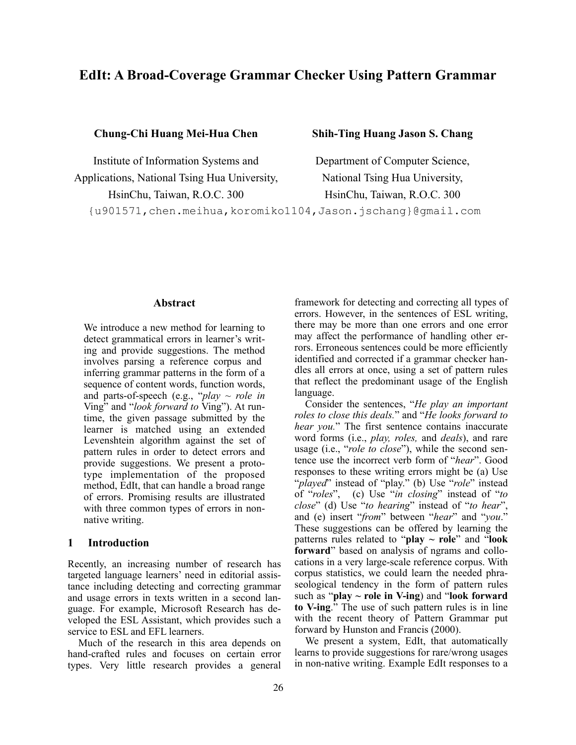# **EdIt: A Broad-Coverage Grammar Checker Using Pattern Grammar**

**Chung-Chi Huang Mei-Hua Chen Shih-Ting Huang Jason S. Chang**

Applications, National Tsing Hua University, National Tsing Hua University, HsinChu, Taiwan, R.O.C. 300 HsinChu, Taiwan, R.O.C. 300

Institute of Information Systems and Department of Computer Science,

{u901571,chen.meihua,koromiko1104,Jason.jschang}@gmail.com

#### **Abstract**

We introduce a new method for learning to detect grammatical errors in learner's writing and provide suggestions. The method involves parsing a reference corpus and inferring grammar patterns in the form of a sequence of content words, function words, and parts-of-speech (e.g., "*play* ~ *role in* Ving" and "*look forward to* Ving"). At runtime, the given passage submitted by the learner is matched using an extended Levenshtein algorithm against the set of pattern rules in order to detect errors and provide suggestions. We present a prototype implementation of the proposed method, EdIt, that can handle a broad range of errors. Promising results are illustrated with three common types of errors in nonnative writing.

#### **1 Introduction**

Recently, an increasing number of research has targeted language learners' need in editorial assistance including detecting and correcting grammar and usage errors in texts written in a second language. For example, Microsoft Research has developed the ESL Assistant, which provides such a service to ESL and EFL learners.

Much of the research in this area depends on hand-crafted rules and focuses on certain error types. Very little research provides a general framework for detecting and correcting all types of errors. However, in the sentences of ESL writing, there may be more than one errors and one error may affect the performance of handling other errors. Erroneous sentences could be more efficiently identified and corrected if a grammar checker handles all errors at once, using a set of pattern rules that reflect the predominant usage of the English language.

Consider the sentences, "*He play an important roles to close this deals.*" and "*He looks forward to hear you.*" The first sentence contains inaccurate word forms (i.e., *play, roles,* and *deals*), and rare usage (i.e., "*role to close*"), while the second sentence use the incorrect verb form of "*hear*". Good responses to these writing errors might be (a) Use "*played*" instead of "play." (b) Use "*role*" instead of "*roles*", (c) Use "*in closing*" instead of "*to close*" (d) Use "*to hearing*" instead of "*to hear*", and (e) insert "*from*" between "*hear*" and "*you*." These suggestions can be offered by learning the patterns rules related to "**play ~ role**" and "**look forward**" based on analysis of ngrams and collocations in a very large-scale reference corpus. With corpus statistics, we could learn the needed phraseological tendency in the form of pattern rules such as "**play ~ role in V-ing**) and "**look forward to V-ing**." The use of such pattern rules is in line with the recent theory of Pattern Grammar put forward by Hunston and Francis (2000).

We present a system, EdIt, that automatically learns to provide suggestions for rare/wrong usages in non-native writing. Example EdIt responses to a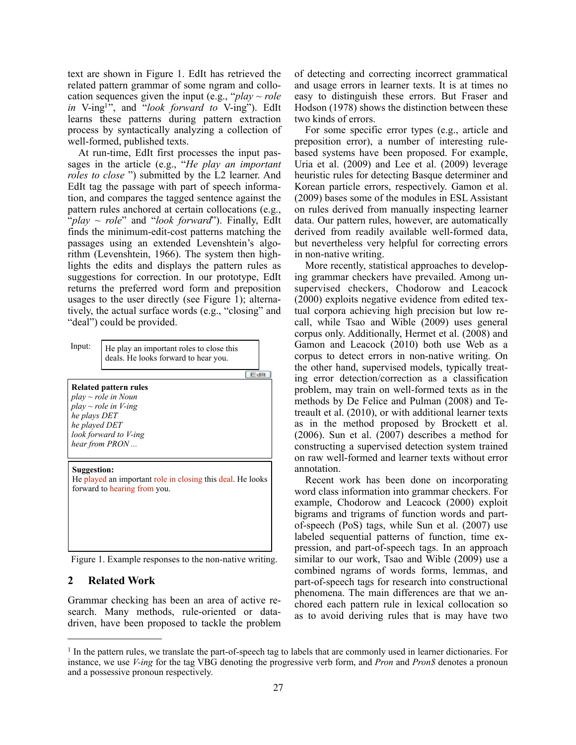text are shown in Figure 1. EdIt has retrieved the related pattern grammar of some ngram and collocation sequences given the input (e.g., " $play \sim role$ *in* V-ing1", and "*look forward to* V-ing"). EdIt learns these patterns during pattern extraction process by syntactically analyzing a collection of well-formed, published texts.

At run-time, EdIt first processes the input passages in the article (e.g., "*He play an important roles to close* ") submitted by the L2 learner. And EdIt tag the passage with part of speech information, and compares the tagged sentence against the pattern rules anchored at certain collocations (e.g., "*play* ~ *role*" and "*look forward*"). Finally, EdIt finds the minimum-edit-cost patterns matching the passages using an extended Levenshtein's algorithm (Levenshtein, 1966). The system then highlights the edits and displays the pattern rules as suggestions for correction. In our prototype, EdIt returns the preferred word form and preposition usages to the user directly (see Figure 1); alternatively, the actual surface words (e.g., "closing" and "deal") could be provided.

| Input:                                                                                                                                                     | He play an important roles to close this<br>deals. He looks forward to hear you.<br>Edit |  |  |  |  |
|------------------------------------------------------------------------------------------------------------------------------------------------------------|------------------------------------------------------------------------------------------|--|--|--|--|
| Related pattern rules<br>$play \sim role$ in Noun<br>$play \sim role$ in V-ing<br>he plays DET<br>he played DET<br>look forward to V-ing<br>hear from PRON |                                                                                          |  |  |  |  |
| <b>Suggestion:</b><br>He played an important role in closing this deal. He looks<br>forward to hearing from you.                                           |                                                                                          |  |  |  |  |

Figure 1. Example responses to the non-native writing.

#### **2 Related Work**

Grammar checking has been an area of active research. Many methods, rule-oriented or datadriven, have been proposed to tackle the problem of detecting and correcting incorrect grammatical and usage errors in learner texts. It is at times no easy to distinguish these errors. But Fraser and Hodson (1978) shows the distinction between these two kinds of errors.

For some specific error types (e.g., article and preposition error), a number of interesting rulebased systems have been proposed. For example, Uria et al. (2009) and Lee et al. (2009) leverage heuristic rules for detecting Basque determiner and Korean particle errors, respectively. Gamon et al. (2009) bases some of the modules in ESL Assistant on rules derived from manually inspecting learner data. Our pattern rules, however, are automatically derived from readily available well-formed data, but nevertheless very helpful for correcting errors in non-native writing.

More recently, statistical approaches to developing grammar checkers have prevailed. Among unsupervised checkers, Chodorow and Leacock (2000) exploits negative evidence from edited textual corpora achieving high precision but low recall, while Tsao and Wible (2009) uses general corpus only. Additionally, Hermet et al. (2008) and Gamon and Leacock (2010) both use Web as a corpus to detect errors in non-native writing. On the other hand, supervised models, typically treating error detection/correction as a classification problem, may train on well-formed texts as in the methods by De Felice and Pulman (2008) and Tetreault et al. (2010), or with additional learner texts as in the method proposed by Brockett et al. (2006). Sun et al. (2007) describes a method for constructing a supervised detection system trained on raw well-formed and learner texts without error annotation.

Recent work has been done on incorporating word class information into grammar checkers. For example, Chodorow and Leacock (2000) exploit bigrams and trigrams of function words and partof-speech (PoS) tags, while Sun et al. (2007) use labeled sequential patterns of function, time expression, and part-of-speech tags. In an approach similar to our work, Tsao and Wible (2009) use a combined ngrams of words forms, lemmas, and part-of-speech tags for research into constructional phenomena. The main differences are that we anchored each pattern rule in lexical collocation so as to avoid deriving rules that is may have two

<sup>&</sup>lt;sup>1</sup> In the pattern rules, we translate the part-of-speech tag to labels that are commonly used in learner dictionaries. For instance, we use *V-ing* for the tag VBG denoting the progressive verb form, and *Pron* and *Pron\$* denotes a pronoun and a possessive pronoun respectively.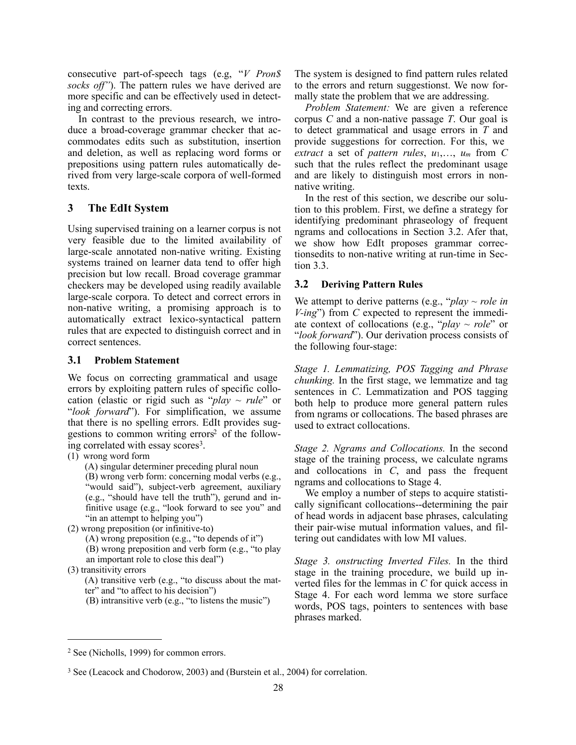consecutive part-of-speech tags (e.g, "*V Pron\$ socks off"*). The pattern rules we have derived are more specific and can be effectively used in detecting and correcting errors.

In contrast to the previous research, we introduce a broad-coverage grammar checker that accommodates edits such as substitution, insertion and deletion, as well as replacing word forms or prepositions using pattern rules automatically derived from very large-scale corpora of well-formed texts.

# **3 The EdIt System**

Using supervised training on a learner corpus is not very feasible due to the limited availability of large-scale annotated non-native writing. Existing systems trained on learner data tend to offer high precision but low recall. Broad coverage grammar checkers may be developed using readily available large-scale corpora. To detect and correct errors in non-native writing, a promising approach is to automatically extract lexico-syntactical pattern rules that are expected to distinguish correct and in correct sentences.

## **3.1 Problem Statement**

We focus on correcting grammatical and usage errors by exploiting pattern rules of specific collocation (elastic or rigid such as "*play ~ rule*" or "*look forward*"). For simplification, we assume that there is no spelling errors. EdIt provides suggestions to common writing errors2 of the following correlated with essay scores<sup>3</sup>.

- (1) wrong word form
	- (A) singular determiner preceding plural noun

(B) wrong verb form: concerning modal verbs (e.g., "would said"), subject-verb agreement, auxiliary (e.g., "should have tell the truth"), gerund and infinitive usage (e.g., "look forward to see you" and "in an attempt to helping you")

- (2) wrong preposition (or infinitive-to)
	- (A) wrong preposition (e.g., "to depends of it")

(B) wrong preposition and verb form (e.g., "to play an important role to close this deal")

- (3) transitivity errors
	- (A) transitive verb (e.g., "to discuss about the mat-
	- ter" and "to affect to his decision")
	- (B) intransitive verb (e.g., "to listens the music")

The system is designed to find pattern rules related to the errors and return suggestionst. We now formally state the problem that we are addressing.

*Problem Statement:* We are given a reference corpus *C* and a non-native passage *T*. Our goal is to detect grammatical and usage errors in *T* and provide suggestions for correction. For this, we *extract* a set of *pattern rules*,  $u_1, \ldots, u_m$  from C such that the rules reflect the predominant usage and are likely to distinguish most errors in nonnative writing.

In the rest of this section, we describe our solution to this problem. First, we define a strategy for identifying predominant phraseology of frequent ngrams and collocations in Section 3.2. Afer that, we show how EdIt proposes grammar correctionsedits to non-native writing at run-time in Section 3.3.

## **3.2 Deriving Pattern Rules**

We attempt to derive patterns (e.g., " $play \sim role$  in *V-ing*") from *C* expected to represent the immediate context of collocations (e.g., "*play ~ role*" or "*look forward*"). Our derivation process consists of the following four-stage:

*Stage 1. Lemmatizing, POS Tagging and Phrase chunking.* In the first stage, we lemmatize and tag sentences in *C*. Lemmatization and POS tagging both help to produce more general pattern rules from ngrams or collocations. The based phrases are used to extract collocations.

*Stage 2. Ngrams and Collocations.* In the second stage of the training process, we calculate ngrams and collocations in *C*, and pass the frequent ngrams and collocations to Stage 4.

We employ a number of steps to acquire statistically significant collocations--determining the pair of head words in adjacent base phrases, calculating their pair-wise mutual information values, and filtering out candidates with low MI values.

*Stage 3. onstructing Inverted Files.* In the third stage in the training procedure, we build up inverted files for the lemmas in *C* for quick access in Stage 4. For each word lemma we store surface words, POS tags, pointers to sentences with base phrases marked.

<sup>2</sup> See (Nicholls, 1999) for common errors.

<sup>3</sup> See (Leacock and Chodorow, 2003) and (Burstein et al., 2004) for correlation.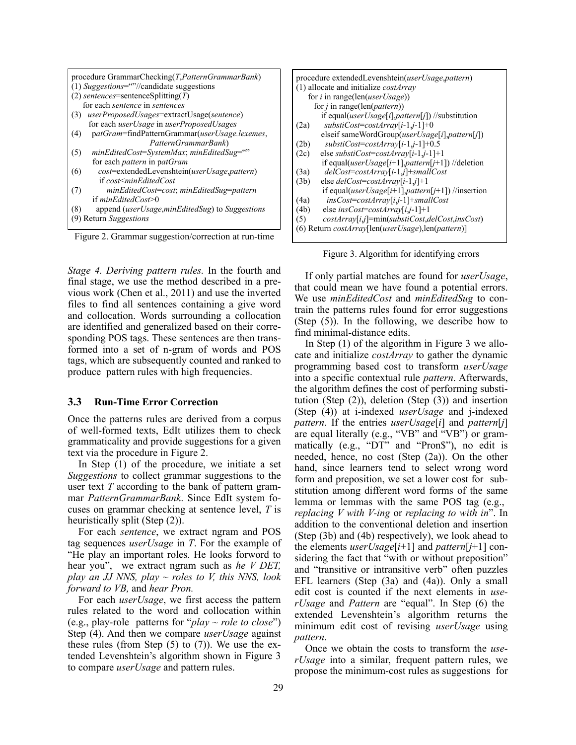|                                             | procedure GrammarChecking(T, Pattern GrammarBank)              |  |  |  |
|---------------------------------------------|----------------------------------------------------------------|--|--|--|
| $(1)$ Suggestions=""//candidate suggestions |                                                                |  |  |  |
| $(2)$ sentences=sentenceSplitting(T)        |                                                                |  |  |  |
|                                             | for each <i>sentence</i> in <i>sentences</i>                   |  |  |  |
| (3)                                         | userProposedUsages=extractUsage(sentence)                      |  |  |  |
|                                             | for each <i>userUsage</i> in <i>userProposedUsages</i>         |  |  |  |
| (4)                                         | patGram=findPatternGrammar(userUsage.lexemes,                  |  |  |  |
|                                             | PatternGrammarBank)                                            |  |  |  |
| (5)                                         | minEditedCost=SystemMax; minEditedSug=""                       |  |  |  |
|                                             | for each <i>pattern</i> in patGram                             |  |  |  |
| (6)                                         | cost=extendedLevenshtein(userUsage,pattern)                    |  |  |  |
|                                             | if cost <mineditedcost< td=""></mineditedcost<>                |  |  |  |
| (7)                                         | minEditedCost=cost; minEditedSug=pattern                       |  |  |  |
|                                             | if $minEditedCost>0$                                           |  |  |  |
| (8)                                         | append ( <i>userUsage,minEditedSug</i> ) to <i>Suggestions</i> |  |  |  |
| (9) Return Suggestions                      |                                                                |  |  |  |

Figure 2. Grammar suggestion/correction at run-time

*Stage 4. Deriving pattern rules.* In the fourth and final stage, we use the method described in a previous work (Chen et al., 2011) and use the inverted files to find all sentences containing a give word and collocation. Words surrounding a collocation are identified and generalized based on their corresponding POS tags. These sentences are then transformed into a set of n-gram of words and POS tags, which are subsequently counted and ranked to produce pattern rules with high frequencies.

#### **3.3 Run-Time Error Correction**

Once the patterns rules are derived from a corpus of well-formed texts, EdIt utilizes them to check grammaticality and provide suggestions for a given text via the procedure in Figure 2.

In Step (1) of the procedure, we initiate a set *Suggestions* to collect grammar suggestions to the user text *T* according to the bank of pattern grammar *PatternGrammarBank*. Since EdIt system focuses on grammar checking at sentence level, *T* is heuristically split (Step (2)).

For each *sentence*, we extract ngram and POS tag sequences *userUsage* in *T*. For the example of "He play an important roles. He looks forword to hear you", we extract ngram such as *he V DET, play an JJ NNS, play ~ roles to V, this NNS, look forward to VB,* and *hear Pron.* 

For each *userUsage*, we first access the pattern rules related to the word and collocation within (e.g., play-role patterns for "*play ~ role to close*") Step (4). And then we compare *userUsage* against these rules (from Step  $(5)$  to  $(7)$ ). We use the extended Levenshtein's algorithm shown in Figure 3 to compare *userUsage* and pattern rules.

| procedure extendedLevenshtein(userUsage,pattern)                               |                                                                                   |  |  |
|--------------------------------------------------------------------------------|-----------------------------------------------------------------------------------|--|--|
| $(1)$ allocate and initialize <i>costArray</i>                                 |                                                                                   |  |  |
| for <i>i</i> in range(len( <i>userUsage</i> ))                                 |                                                                                   |  |  |
|                                                                                | for <i>i</i> in range(len( <i>pattern</i> ))                                      |  |  |
|                                                                                | if equal(userUsage[i],pattern[j]) //substitution                                  |  |  |
| (2a)                                                                           | $substiCost = costArray[i-1,j-1]+0$                                               |  |  |
|                                                                                | elseif sameWordGroup( <i>userUsage</i> [ <i>i</i> ], <i>pattern</i> [ <i>j</i> ]) |  |  |
| (2b)                                                                           | $substiCost = costArray[i-1,j-1]+0.5$                                             |  |  |
| (2c)                                                                           | else substiCost=costArray[i-1,j-1]+1                                              |  |  |
|                                                                                | if equal( <i>userUsage</i> [i+1], <i>pattern</i> [j+1])//deletion                 |  |  |
| (3a)                                                                           | $delCost = costArray[i-1,j] + smallCost$                                          |  |  |
| (3b)                                                                           | else <i>delCost=costArray</i> [ $i$ -1, $j$ ]+1                                   |  |  |
|                                                                                | if equal( <i>userUsage</i> [ $i+1$ ], <i>pattern</i> [ $j+1$ ]) //insertion       |  |  |
| (4a)                                                                           | $insCost = costArray[i,j-1] + smallCost$                                          |  |  |
| (4b)                                                                           | else insCost=costArray[i,j-1]+1                                                   |  |  |
| (5)                                                                            | $costArray[i,j] = min(substiCost, delCost, insCost)$                              |  |  |
| $(6)$ Return <i>costArray</i> [len( <i>userUsage</i> ), len( <i>pattern</i> )] |                                                                                   |  |  |
|                                                                                |                                                                                   |  |  |

Figure 3. Algorithm for identifying errors

If only partial matches are found for *userUsage*, that could mean we have found a potential errors. We use *minEditedCost* and *minEditedSug* to contrain the patterns rules found for error suggestions (Step (5)). In the following, we describe how to find minimal-distance edits.

In Step (1) of the algorithm in Figure 3 we allocate and initialize *costArray* to gather the dynamic programming based cost to transform *userUsage*  into a specific contextual rule *pattern*. Afterwards, the algorithm defines the cost of performing substitution (Step (2)), deletion (Step (3)) and insertion (Step (4)) at i-indexed *userUsage* and j-indexed *pattern*. If the entries *userUsage*[*i*] and *pattern*[*j*] are equal literally (e.g., "VB" and "VB") or grammatically (e.g., "DT" and "Pron\$"), no edit is needed, hence, no cost (Step (2a)). On the other hand, since learners tend to select wrong word form and preposition, we set a lower cost for substitution among different word forms of the same lemma or lemmas with the same POS tag (e.g., *replacing V with V-ing* or *replacing to with in*". In addition to the conventional deletion and insertion (Step (3b) and (4b) respectively), we look ahead to the elements *userUsage*[*i*+1] and *pattern*[*j*+1] considering the fact that "with or without preposition" and "transitive or intransitive verb" often puzzles EFL learners (Step (3a) and (4a)). Only a small edit cost is counted if the next elements in *userUsage* and *Pattern* are "equal". In Step (6) the extended Levenshtein's algorithm returns the minimum edit cost of revising *userUsage* using *pattern*.

Once we obtain the costs to transform the *userUsage* into a similar, frequent pattern rules, we propose the minimum-cost rules as suggestions for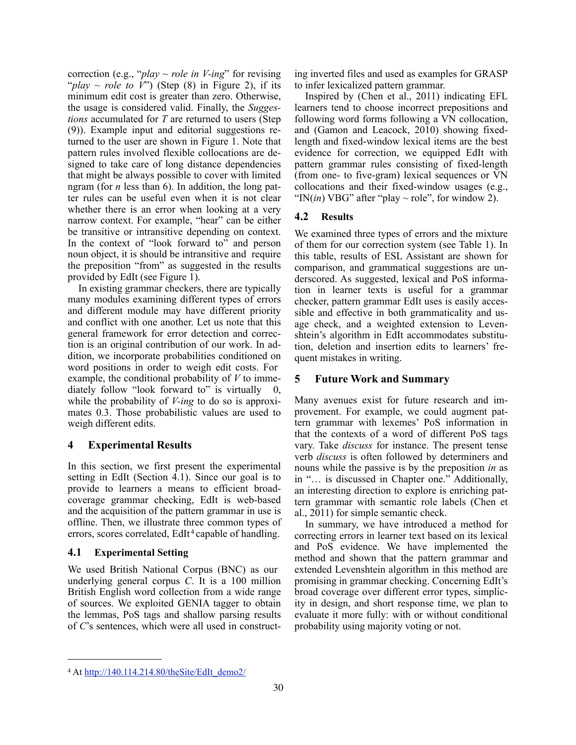correction (e.g., "*play ~ role in V-ing*" for revising " $play \sim role to V$ ") (Step (8) in Figure 2), if its minimum edit cost is greater than zero. Otherwise, the usage is considered valid. Finally, the *Suggestions* accumulated for *T* are returned to users (Step (9)). Example input and editorial suggestions returned to the user are shown in Figure 1. Note that pattern rules involved flexible collocations are designed to take care of long distance dependencies that might be always possible to cover with limited ngram (for *n* less than 6). In addition, the long patter rules can be useful even when it is not clear whether there is an error when looking at a very narrow context. For example, "hear" can be either be transitive or intransitive depending on context. In the context of "look forward to" and person noun object, it is should be intransitive and require the preposition "from" as suggested in the results provided by EdIt (see Figure 1).

In existing grammar checkers, there are typically many modules examining different types of errors and different module may have different priority and conflict with one another. Let us note that this general framework for error detection and correction is an original contribution of our work. In addition, we incorporate probabilities conditioned on word positions in order to weigh edit costs. For example, the conditional probability of *V* to immediately follow "look forward to" is virtually while the probability of *V-ing* to do so is approximates 0.3. Those probabilistic values are used to weigh different edits.

## **4 Experimental Results**

In this section, we first present the experimental setting in EdIt (Section 4.1). Since our goal is to provide to learners a means to efficient broadcoverage grammar checking, EdIt is web-based and the acquisition of the pattern grammar in use is offline. Then, we illustrate three common types of errors, scores correlated, EdIt<sup>4</sup> capable of handling.

## **4.1 Experimental Setting**

We used British National Corpus (BNC) as our underlying general corpus *C*. It is a 100 million British English word collection from a wide range of sources. We exploited GENIA tagger to obtain the lemmas, PoS tags and shallow parsing results of *C*'s sentences, which were all used in constructing inverted files and used as examples for GRASP to infer lexicalized pattern grammar.

Inspired by (Chen et al., 2011) indicating EFL learners tend to choose incorrect prepositions and following word forms following a VN collocation, and (Gamon and Leacock, 2010) showing fixedlength and fixed-window lexical items are the best evidence for correction, we equipped EdIt with pattern grammar rules consisting of fixed-length (from one- to five-gram) lexical sequences or VN collocations and their fixed-window usages (e.g., "IN $(in)$  VBG" after "play  $\sim$  role", for window 2).

# **4.2 Results**

We examined three types of errors and the mixture of them for our correction system (see Table 1). In this table, results of ESL Assistant are shown for comparison, and grammatical suggestions are underscored. As suggested, lexical and PoS information in learner texts is useful for a grammar checker, pattern grammar EdIt uses is easily accessible and effective in both grammaticality and usage check, and a weighted extension to Levenshtein's algorithm in EdIt accommodates substitution, deletion and insertion edits to learners' frequent mistakes in writing.

# **5 Future Work and Summary**

Many avenues exist for future research and improvement. For example, we could augment pattern grammar with lexemes' PoS information in that the contexts of a word of different PoS tags vary. Take *discuss* for instance. The present tense verb *discuss* is often followed by determiners and nouns while the passive is by the preposition *in* as in "… is discussed in Chapter one." Additionally, an interesting direction to explore is enriching pattern grammar with semantic role labels (Chen et al., 2011) for simple semantic check.

In summary, we have introduced a method for correcting errors in learner text based on its lexical and PoS evidence. We have implemented the method and shown that the pattern grammar and extended Levenshtein algorithm in this method are promising in grammar checking. Concerning EdIt's broad coverage over different error types, simplicity in design, and short response time, we plan to evaluate it more fully: with or without conditional probability using majority voting or not.

<sup>4</sup> At http://140.114.214.80/theSite/EdIt\_demo2/